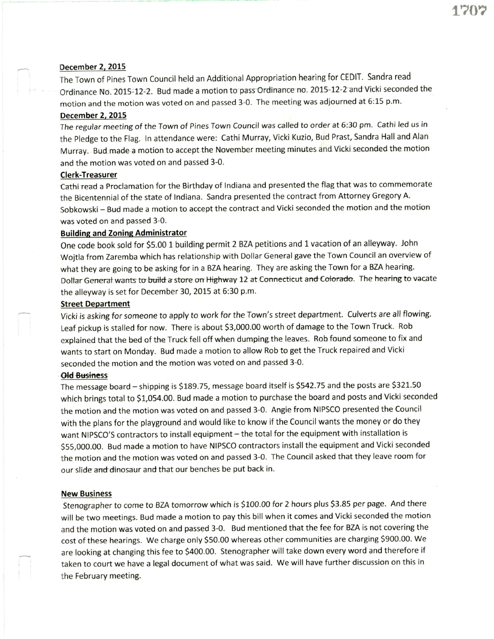## December 2, 2015

The Town of pines Town Council held an Additional Appropriation hearing for CEDIT. Sandra read Ordinance No. 2015-12-2. Bud made a motion to pass Ordinance no. 2015-12-2 and Vicki seconded the motion and the motion was voted on and passed 3-0. The meeting was adjourned at 6:15 p.m.

### December 2, 2015

The regular meeting of the Town of Pines Town Council was called to order at 6:30 pm. Cathi led us in the Pledge to the Flag. In attendance were: Cathi Murray, Vicki Kuzio, Bud Prast, Sandra Hall and Alan Murray. Bud made a motion to accept the November meeting minutes and Vicki seconded the motion and the motion was voted on and passed 3-0.

### Clerk-Treasurer

Cathiread a Proclamation for the Birthday of lndiana and presented the flag that was to commemorate the Bicentennial of the state of lndiana. Sandra presented the contract from Attorney Gregory A. Sobkowski - Bud made a motion to accept the contract and Vicki seconded the motion and the motion was voted on and passed 3-0.

### **Building and Zoning Administrator**

One code book sold for 55.00 1 building permit 2 BZA petitions and 1 vacation of an alleyway. John Wojtla from Zaremba which has relationship with Dollar General gave the Town Council an overview of what they are going to be asking for in a BZA hearing. They are asking the Town for a BZA hearing. Dollar General wants to build a store on Highway 12 at Connecticut and Colorado. The hearing to vacate the alleyway is set for December 30, 2015 at 6:30 p.m.

### Street Department

Vicki is asking for someone to apply to work for the Town's street department. Culverts are all flowing. Leaf pickup is stalled for now. There is about \$3,000.00 worth of damage to the Town Truck. Rob explained that the bed of the Truck fell off when dumping the leaves. Rob found someone to fix and wants to start on Monday. Bud made a motion to allow Rob to get the Truck repaired and Vicki seconded the motion and the motion was voted on and passed 3-0.

#### **Old Business**

The message board - shipping is \$189.75, message board itself is \$542.75 and the posts are \$321.50 which brings total to S1,054.00. Bud made a motion to purchase the board and posts and Vicki seconded the motion and the motion was voted on and passed 3-0. Angie from NIPSCO presented the Council with the plans for the playground and would like to know if the Council wants the money or do they want NIPSCO'S contractors to install equipment - the total for the equipment with installation is \$55,000.00. Bud made a motion to have NIPSCO contractors install the equipment and Vicki seconded the motion and the motion was voted on and passed 3-0. The Council asked that they leave room for our slide and dinosaur and that our benches be put back in.

#### New Business

Stenographer to come to BZA tomorrow which is \$100.00 for 2 hours plus \$3.85 per page. And there will be two meetings. Bud made a motion to pay this bill when it comes and Vicki seconded the motion and the motion was voted on and passed 3-0. Bud mentioned that the fee for BZA is not covering the cost of these hearings. We charge only SSO.OO whereas other communities are charging 5900.00. We are looking at changing this fee to 5400.00. Stenographer will take down every word and therefore if taken to court we have a legal document of what was said. We will have further discussion on this in the February meeting.